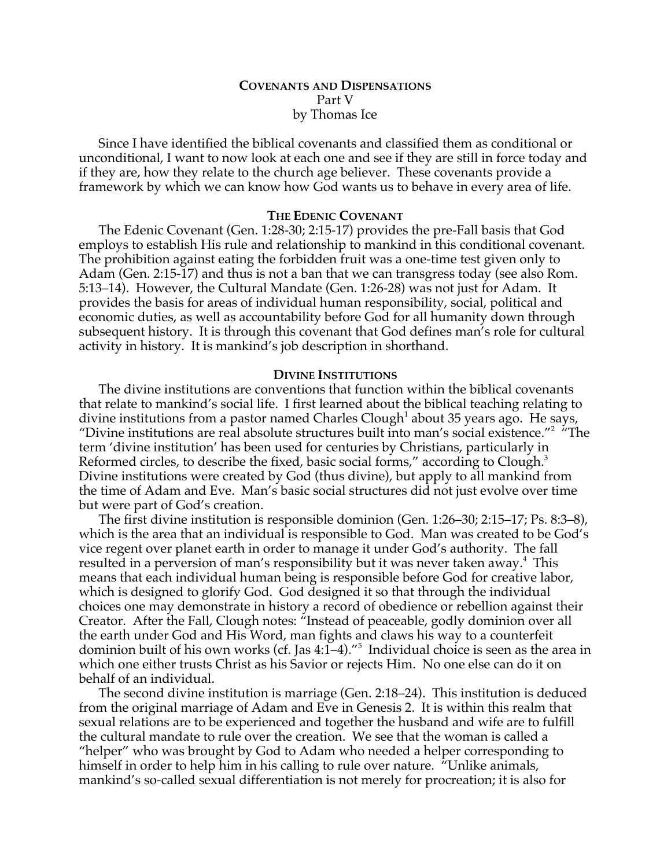# **COVENANTS AND DISPENSATIONS** Part V by Thomas Ice

Since I have identified the biblical covenants and classified them as conditional or unconditional, I want to now look at each one and see if they are still in force today and if they are, how they relate to the church age believer. These covenants provide a framework by which we can know how God wants us to behave in every area of life.

# **THE EDENIC COVENANT**

The Edenic Covenant (Gen. 1:28-30; 2:15-17) provides the pre-Fall basis that God employs to establish His rule and relationship to mankind in this conditional covenant. The prohibition against eating the forbidden fruit was a one-time test given only to Adam (Gen. 2:15-17) and thus is not a ban that we can transgress today (see also Rom. 5:13–14). However, the Cultural Mandate (Gen. 1:26-28) was not just for Adam. It provides the basis for areas of individual human responsibility, social, political and economic duties, as well as accountability before God for all humanity down through subsequent history. It is through this covenant that God defines man's role for cultural activity in history. It is mankind's job description in shorthand.

### **DIVINE INSTITUTIONS**

The divine institutions are conventions that function within the biblical covenants that relate to mankind's social life. I first learned about the biblical teaching relating to divine institutions from a pastor named Charles Clough<sup>1</sup> about 35 years ago. He says, "Divine institutions are real absolute structures built into man's social existence."<sup>2</sup> "The term 'divine institution' has been used for centuries by Christians, particularly in Reformed circles, to describe the fixed, basic social forms," according to Clough.<sup>3</sup> Divine institutions were created by God (thus divine), but apply to all mankind from the time of Adam and Eve. Man's basic social structures did not just evolve over time but were part of God's creation.

The first divine institution is responsible dominion (Gen. 1:26–30; 2:15–17; Ps. 8:3–8), which is the area that an individual is responsible to God. Man was created to be God's vice regent over planet earth in order to manage it under God's authority. The fall resulted in a perversion of man's responsibility but it was never taken away. $^4\,$  This means that each individual human being is responsible before God for creative labor, which is designed to glorify God. God designed it so that through the individual choices one may demonstrate in history a record of obedience or rebellion against their Creator. After the Fall, Clough notes: "Instead of peaceable, godly dominion over all the earth under God and His Word, man fights and claws his way to a counterfeit dominion built of his own works (cf. Jas 4:1–4)."<sup>5</sup> Individual choice is seen as the area in which one either trusts Christ as his Savior or rejects Him. No one else can do it on behalf of an individual.

The second divine institution is marriage (Gen. 2:18–24). This institution is deduced from the original marriage of Adam and Eve in Genesis 2. It is within this realm that sexual relations are to be experienced and together the husband and wife are to fulfill the cultural mandate to rule over the creation. We see that the woman is called a "helper" who was brought by God to Adam who needed a helper corresponding to himself in order to help him in his calling to rule over nature. "Unlike animals, mankind's so-called sexual differentiation is not merely for procreation; it is also for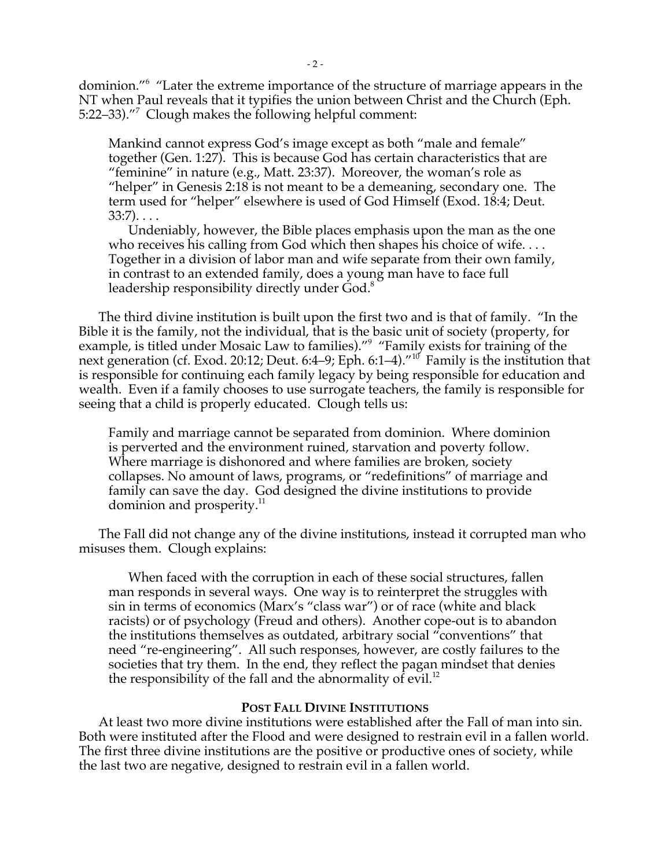dominion."6 "Later the extreme importance of the structure of marriage appears in the NT when Paul reveals that it typifies the union between Christ and the Church (Eph. 5:22–33)."<sup>7</sup> Clough makes the following helpful comment:

Mankind cannot express God's image except as both "male and female" together (Gen. 1:27). This is because God has certain characteristics that are "feminine" in nature (e.g., Matt. 23:37). Moreover, the woman's role as "helper" in Genesis 2:18 is not meant to be a demeaning, secondary one. The term used for "helper" elsewhere is used of God Himself (Exod. 18:4; Deut. 33:7). . . .

Undeniably, however, the Bible places emphasis upon the man as the one who receives his calling from God which then shapes his choice of wife.... Together in a division of labor man and wife separate from their own family, in contrast to an extended family, does a young man have to face full leadership responsibility directly under God.<sup>8</sup>

The third divine institution is built upon the first two and is that of family. "In the Bible it is the family, not the individual, that is the basic unit of society (property, for example, is titled under Mosaic Law to families)."<sup>9</sup> "Family exists for training of the next generation (cf. Exod. 20:12; Deut. 6:4–9; Eph. 6:1–4)."10 Family is the institution that is responsible for continuing each family legacy by being responsible for education and wealth. Even if a family chooses to use surrogate teachers, the family is responsible for seeing that a child is properly educated. Clough tells us:

Family and marriage cannot be separated from dominion. Where dominion is perverted and the environment ruined, starvation and poverty follow. Where marriage is dishonored and where families are broken, society collapses. No amount of laws, programs, or "redefinitions" of marriage and family can save the day. God designed the divine institutions to provide dominion and prosperity.<sup>11</sup>

The Fall did not change any of the divine institutions, instead it corrupted man who misuses them. Clough explains:

When faced with the corruption in each of these social structures, fallen man responds in several ways. One way is to reinterpret the struggles with sin in terms of economics (Marx's "class war") or of race (white and black racists) or of psychology (Freud and others). Another cope-out is to abandon the institutions themselves as outdated, arbitrary social "conventions" that need "re-engineering". All such responses, however, are costly failures to the societies that try them. In the end, they reflect the pagan mindset that denies the responsibility of the fall and the abnormality of evil. $12$ 

### **POST FALL DIVINE INSTITUTIONS**

At least two more divine institutions were established after the Fall of man into sin. Both were instituted after the Flood and were designed to restrain evil in a fallen world. The first three divine institutions are the positive or productive ones of society, while the last two are negative, designed to restrain evil in a fallen world.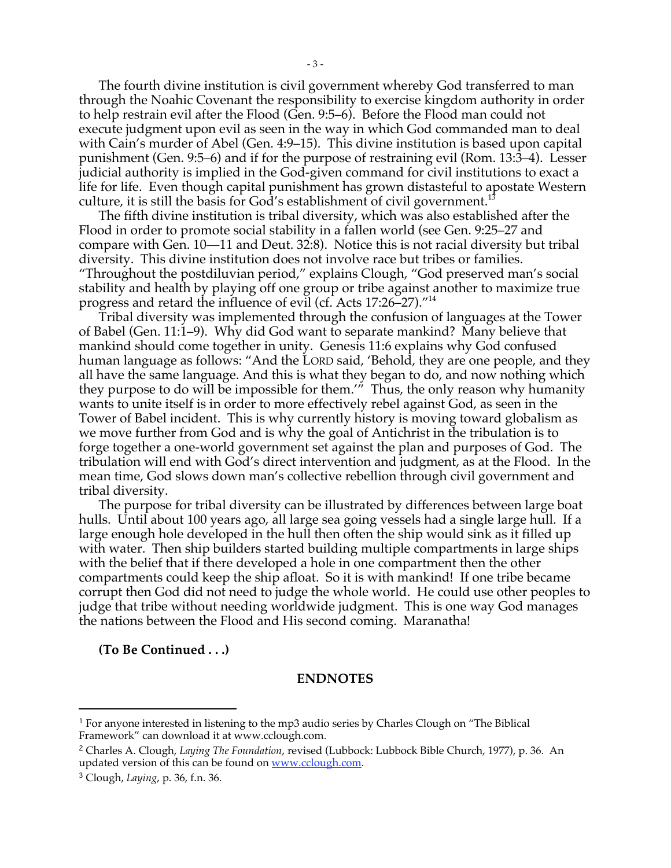The fourth divine institution is civil government whereby God transferred to man through the Noahic Covenant the responsibility to exercise kingdom authority in order to help restrain evil after the Flood (Gen. 9:5–6). Before the Flood man could not execute judgment upon evil as seen in the way in which God commanded man to deal with Cain's murder of Abel (Gen. 4:9–15). This divine institution is based upon capital punishment (Gen. 9:5–6) and if for the purpose of restraining evil (Rom. 13:3–4). Lesser judicial authority is implied in the God-given command for civil institutions to exact a life for life. Even though capital punishment has grown distasteful to apostate Western culture, it is still the basis for God's establishment of civil government.<sup>13</sup>

The fifth divine institution is tribal diversity, which was also established after the Flood in order to promote social stability in a fallen world (see Gen. 9:25–27 and compare with Gen. 10—11 and Deut. 32:8). Notice this is not racial diversity but tribal diversity. This divine institution does not involve race but tribes or families. "Throughout the postdiluvian period," explains Clough, "God preserved man's social stability and health by playing off one group or tribe against another to maximize true progress and retard the influence of evil (cf. Acts 17:26–27)."14

Tribal diversity was implemented through the confusion of languages at the Tower of Babel (Gen. 11:1–9). Why did God want to separate mankind? Many believe that mankind should come together in unity. Genesis 11:6 explains why God confused human language as follows: "And the LORD said, 'Behold, they are one people, and they all have the same language. And this is what they began to do, and now nothing which they purpose to do will be impossible for them.'" Thus, the only reason why humanity wants to unite itself is in order to more effectively rebel against God, as seen in the Tower of Babel incident. This is why currently history is moving toward globalism as we move further from God and is why the goal of Antichrist in the tribulation is to forge together a one-world government set against the plan and purposes of God. The tribulation will end with God's direct intervention and judgment, as at the Flood. In the mean time, God slows down man's collective rebellion through civil government and tribal diversity.

The purpose for tribal diversity can be illustrated by differences between large boat hulls. Until about 100 years ago, all large sea going vessels had a single large hull. If a large enough hole developed in the hull then often the ship would sink as it filled up with water. Then ship builders started building multiple compartments in large ships with the belief that if there developed a hole in one compartment then the other compartments could keep the ship afloat. So it is with mankind! If one tribe became corrupt then God did not need to judge the whole world. He could use other peoples to judge that tribe without needing worldwide judgment. This is one way God manages the nations between the Flood and His second coming. Maranatha!

**(To Be Continued . . .)**

#### **ENDNOTES**

 $\overline{a}$ 

<sup>1</sup> For anyone interested in listening to the mp3 audio series by Charles Clough on "The Biblical Framework" can download it at www.cclough.com.

<sup>2</sup> Charles A. Clough, *Laying The Foundation*, revised (Lubbock: Lubbock Bible Church, 1977), p. 36. An updated version of this can be found on www.cclough.com.

<sup>3</sup> Clough, *Laying*, p. 36, f.n. 36.